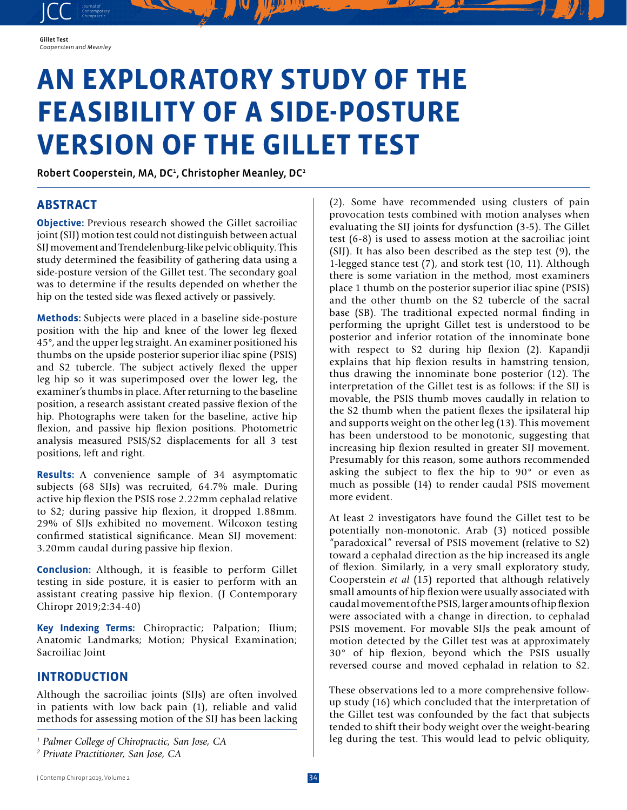JCC contemporary Contemporary

# **AN EXPLORATORY STUDY OF THE FEASIBILITY OF A SIDE-POSTURE VERSION OF THE GILLET TEST**

Robert Cooperstein, MA, DC<sup>1</sup>, Christopher Meanley, DC<sup>2</sup>

# **ABSTRACT**

**Objective:** Previous research showed the Gillet sacroiliac joint (SIJ) motion test could not distinguish between actual SIJ movement and Trendelenburg-like pelvic obliquity. This study determined the feasibility of gathering data using a side-posture version of the Gillet test. The secondary goal was to determine if the results depended on whether the hip on the tested side was flexed actively or passively.

**Methods:** Subjects were placed in a baseline side-posture position with the hip and knee of the lower leg flexed 45°, and the upper leg straight. An examiner positioned his thumbs on the upside posterior superior iliac spine (PSIS) and S2 tubercle. The subject actively flexed the upper leg hip so it was superimposed over the lower leg, the examiner's thumbs in place. After returning to the baseline position, a research assistant created passive flexion of the hip. Photographs were taken for the baseline, active hip flexion, and passive hip flexion positions. Photometric analysis measured PSIS/S2 displacements for all 3 test positions, left and right.

**Results:** A convenience sample of 34 asymptomatic subjects (68 SIJs) was recruited, 64.7% male. During active hip flexion the PSIS rose 2.22mm cephalad relative to S2; during passive hip flexion, it dropped 1.88mm. 29% of SIJs exhibited no movement. Wilcoxon testing confirmed statistical significance. Mean SIJ movement: 3.20mm caudal during passive hip flexion.

**Conclusion:** Although, it is feasible to perform Gillet testing in side posture, it is easier to perform with an assistant creating passive hip flexion. (J Contemporary Chiropr 2019;2:34-40)

**Key Indexing Terms:** Chiropractic; Palpation; Ilium; Anatomic Landmarks; Motion; Physical Examination; Sacroiliac Joint

# **INTRODUCTION**

Although the sacroiliac joints (SIJs) are often involved in patients with low back pain (1), reliable and valid methods for assessing motion of the SIJ has been lacking (2). Some have recommended using clusters of pain provocation tests combined with motion analyses when evaluating the SIJ joints for dysfunction (3-5). The Gillet test (6-8) is used to assess motion at the sacroiliac joint (SIJ). It has also been described as the step test (9), the 1-legged stance test (7), and stork test (10, 11). Although there is some variation in the method, most examiners place 1 thumb on the posterior superior iliac spine (PSIS) and the other thumb on the S2 tubercle of the sacral base (SB). The traditional expected normal finding in performing the upright Gillet test is understood to be posterior and inferior rotation of the innominate bone with respect to S2 during hip flexion (2). Kapandji explains that hip flexion results in hamstring tension, thus drawing the innominate bone posterior (12). The interpretation of the Gillet test is as follows: if the SIJ is movable, the PSIS thumb moves caudally in relation to the S2 thumb when the patient flexes the ipsilateral hip and supports weight on the other leg (13). This movement has been understood to be monotonic, suggesting that increasing hip flexion resulted in greater SIJ movement. Presumably for this reason, some authors recommended asking the subject to flex the hip to 90° or even as much as possible (14) to render caudal PSIS movement more evident.

At least 2 investigators have found the Gillet test to be potentially non-monotonic. Arab (3) noticed possible "paradoxical" reversal of PSIS movement (relative to S2) toward a cephalad direction as the hip increased its angle of flexion. Similarly, in a very small exploratory study, Cooperstein *et al* (15) reported that although relatively small amounts of hip flexion were usually associated with caudal movement of the PSIS, larger amounts of hip flexion were associated with a change in direction, to cephalad PSIS movement. For movable SIJs the peak amount of motion detected by the Gillet test was at approximately 30° of hip flexion, beyond which the PSIS usually reversed course and moved cephalad in relation to S2.

These observations led to a more comprehensive followup study (16) which concluded that the interpretation of the Gillet test was confounded by the fact that subjects tended to shift their body weight over the weight-bearing leg during the test. This would lead to pelvic obliquity,

*<sup>1</sup> Palmer College of Chiropractic, San Jose, CA*

*<sup>2</sup> Private Practitioner, San Jose, CA*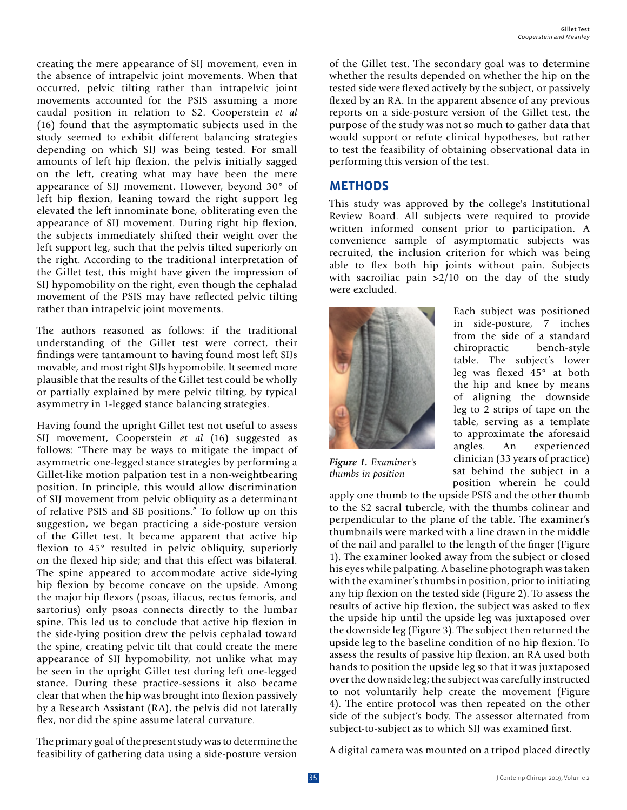creating the mere appearance of SIJ movement, even in the absence of intrapelvic joint movements. When that occurred, pelvic tilting rather than intrapelvic joint movements accounted for the PSIS assuming a more caudal position in relation to S2. Cooperstein *et al* (16) found that the asymptomatic subjects used in the study seemed to exhibit different balancing strategies depending on which SIJ was being tested. For small amounts of left hip flexion, the pelvis initially sagged on the left, creating what may have been the mere appearance of SIJ movement. However, beyond 30° of left hip flexion, leaning toward the right support leg elevated the left innominate bone, obliterating even the appearance of SIJ movement. During right hip flexion, the subjects immediately shifted their weight over the left support leg, such that the pelvis tilted superiorly on the right. According to the traditional interpretation of the Gillet test, this might have given the impression of SIJ hypomobility on the right, even though the cephalad movement of the PSIS may have reflected pelvic tilting rather than intrapelvic joint movements.

The authors reasoned as follows: if the traditional understanding of the Gillet test were correct, their findings were tantamount to having found most left SIJs movable, and most right SIJs hypomobile. It seemed more plausible that the results of the Gillet test could be wholly or partially explained by mere pelvic tilting, by typical asymmetry in 1-legged stance balancing strategies.

Having found the upright Gillet test not useful to assess SIJ movement, Cooperstein *et al* (16) suggested as follows: "There may be ways to mitigate the impact of asymmetric one-legged stance strategies by performing a Gillet-like motion palpation test in a non-weightbearing position. In principle, this would allow discrimination of SIJ movement from pelvic obliquity as a determinant of relative PSIS and SB positions." To follow up on this suggestion, we began practicing a side-posture version of the Gillet test. It became apparent that active hip flexion to 45° resulted in pelvic obliquity, superiorly on the flexed hip side; and that this effect was bilateral. The spine appeared to accommodate active side-lying hip flexion by become concave on the upside. Among the major hip flexors (psoas, iliacus, rectus femoris, and sartorius) only psoas connects directly to the lumbar spine. This led us to conclude that active hip flexion in the side-lying position drew the pelvis cephalad toward the spine, creating pelvic tilt that could create the mere appearance of SIJ hypomobility, not unlike what may be seen in the upright Gillet test during left one-legged stance. During these practice-sessions it also became clear that when the hip was brought into flexion passively by a Research Assistant (RA), the pelvis did not laterally flex, nor did the spine assume lateral curvature.

The primary goal of the present study was to determine the feasibility of gathering data using a side-posture version of the Gillet test. The secondary goal was to determine whether the results depended on whether the hip on the tested side were flexed actively by the subject, or passively flexed by an RA. In the apparent absence of any previous reports on a side-posture version of the Gillet test, the purpose of the study was not so much to gather data that would support or refute clinical hypotheses, but rather to test the feasibility of obtaining observational data in performing this version of the test.

## **METHODS**

This study was approved by the college's Institutional Review Board. All subjects were required to provide written informed consent prior to participation. A convenience sample of asymptomatic subjects was recruited, the inclusion criterion for which was being able to flex both hip joints without pain. Subjects with sacroiliac pain  $>2/10$  on the day of the study were excluded.



*Figure 1. Examiner's thumbs in position*

Each subject was positioned in side-posture, 7 inches from the side of a standard chiropractic bench-style table. The subject's lower leg was flexed 45° at both the hip and knee by means of aligning the downside leg to 2 strips of tape on the table, serving as a template to approximate the aforesaid angles. An experienced clinician (33 years of practice) sat behind the subject in a position wherein he could

apply one thumb to the upside PSIS and the other thumb to the S2 sacral tubercle, with the thumbs colinear and perpendicular to the plane of the table. The examiner's thumbnails were marked with a line drawn in the middle of the nail and parallel to the length of the finger (Figure 1). The examiner looked away from the subject or closed his eyes while palpating. A baseline photograph was taken with the examiner's thumbs in position, prior to initiating any hip flexion on the tested side (Figure 2). To assess the results of active hip flexion, the subject was asked to flex the upside hip until the upside leg was juxtaposed over the downside leg (Figure 3). The subject then returned the upside leg to the baseline condition of no hip flexion. To assess the results of passive hip flexion, an RA used both hands to position the upside leg so that it was juxtaposed over the downside leg; the subject was carefully instructed to not voluntarily help create the movement (Figure 4). The entire protocol was then repeated on the other side of the subject's body. The assessor alternated from subject-to-subject as to which SIJ was examined first.

A digital camera was mounted on a tripod placed directly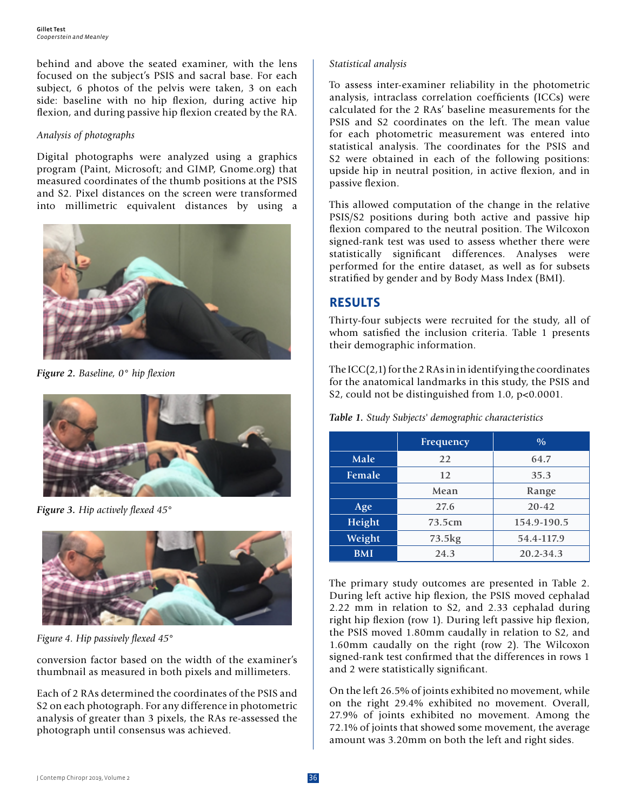behind and above the seated examiner, with the lens focused on the subject's PSIS and sacral base. For each subject, 6 photos of the pelvis were taken, 3 on each side: baseline with no hip flexion, during active hip flexion, and during passive hip flexion created by the RA.

#### *Analysis of photographs*

Digital photographs were analyzed using a graphics program (Paint, Microsoft; and GIMP, Gnome.org) that measured coordinates of the thumb positions at the PSIS and S2. Pixel distances on the screen were transformed into millimetric equivalent distances by using a



*Figure 2. Baseline, 0° hip flexion*



*Figure 3. Hip actively flexed 45°*



*Figure 4. Hip passively flexed 45°*

conversion factor based on the width of the examiner's thumbnail as measured in both pixels and millimeters.

Each of 2 RAs determined the coordinates of the PSIS and S2 on each photograph. For any difference in photometric analysis of greater than 3 pixels, the RAs re-assessed the photograph until consensus was achieved.

#### *Statistical analysis*

To assess inter-examiner reliability in the photometric analysis, intraclass correlation coefficients (ICCs) were calculated for the 2 RAs' baseline measurements for the PSIS and S2 coordinates on the left. The mean value for each photometric measurement was entered into statistical analysis. The coordinates for the PSIS and S2 were obtained in each of the following positions: upside hip in neutral position, in active flexion, and in passive flexion.

This allowed computation of the change in the relative PSIS/S2 positions during both active and passive hip flexion compared to the neutral position. The Wilcoxon signed-rank test was used to assess whether there were statistically significant differences. Analyses were performed for the entire dataset, as well as for subsets stratified by gender and by Body Mass Index (BMI).

# **RESULTS**

Thirty-four subjects were recruited for the study, all of whom satisfied the inclusion criteria. Table 1 presents their demographic information.

The ICC(2,1) for the 2 RAs in in identifying the coordinates for the anatomical landmarks in this study, the PSIS and S2, could not be distinguished from 1.0, p<0.0001.

|            | Frequency | $\frac{0}{0}$ |  |  |  |
|------------|-----------|---------------|--|--|--|
| Male       | 22        | 64.7          |  |  |  |
| Female     | 12        | 35.3          |  |  |  |
|            | Mean      | Range         |  |  |  |
| Age        | 27.6      | $20 - 42$     |  |  |  |
| Height     | 73.5cm    | 154.9-190.5   |  |  |  |
| Weight     | 73.5kg    | 54.4-117.9    |  |  |  |
| <b>BMI</b> | 24.3      | 20.2-34.3     |  |  |  |

*Table 1. Study Subjects' demographic characteristics*

The primary study outcomes are presented in Table 2. During left active hip flexion, the PSIS moved cephalad 2.22 mm in relation to S2, and 2.33 cephalad during right hip flexion (row 1). During left passive hip flexion, the PSIS moved 1.80mm caudally in relation to S2, and 1.60mm caudally on the right (row 2). The Wilcoxon signed-rank test confirmed that the differences in rows 1 and 2 were statistically significant.

On the left 26.5% of joints exhibited no movement, while on the right 29.4% exhibited no movement. Overall, 27.9% of joints exhibited no movement. Among the 72.1% of joints that showed some movement, the average amount was 3.20mm on both the left and right sides.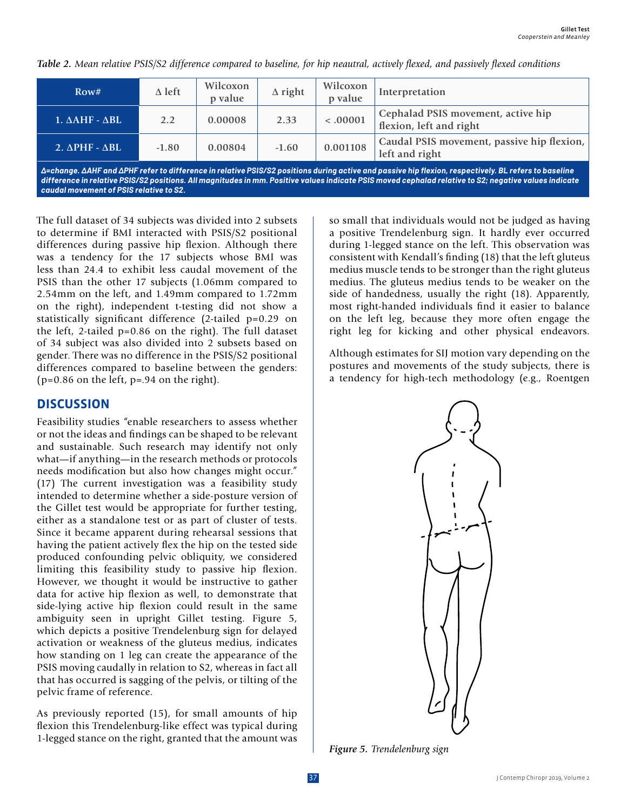| Row#                              | $\Delta$ left | Wilcoxon<br>p value | $\Delta$ right | Wilcoxon<br>p value | Interpretation                                                |
|-----------------------------------|---------------|---------------------|----------------|---------------------|---------------------------------------------------------------|
| $1. \triangle AHF - \triangle BL$ | 2.2           | 0.00008             | 2.33           | < .00001            | Cephalad PSIS movement, active hip<br>flexion, left and right |
| $2. \Delta$ PHF - $\Delta$ BL     | $-1.80$       | 0.00804             | $-1.60$        | 0.001108            | Caudal PSIS movement, passive hip flexion,<br>left and right  |

*Table 2. Mean relative PSIS/S2 difference compared to baseline, for hip neautral, actively flexed, and passively flexed conditions*

*Δ=change. ΔAHF and ΔPHF refer to difference in relative PSIS/S2 positions during active and passive hip flexion, respectively. BL refers to baseline difference in relative PSIS/S2 positions. All magnitudes in mm. Positive values indicate PSIS moved cephalad relative to S2; negative values indicate caudal movement of PSIS relative to S2.*

The full dataset of 34 subjects was divided into 2 subsets to determine if BMI interacted with PSIS/S2 positional differences during passive hip flexion. Although there was a tendency for the 17 subjects whose BMI was less than 24.4 to exhibit less caudal movement of the PSIS than the other 17 subjects (1.06mm compared to 2.54mm on the left, and 1.49mm compared to 1.72mm on the right), independent t-testing did not show a statistically significant difference (2-tailed p=0.29 on the left, 2-tailed p=0.86 on the right). The full dataset of 34 subject was also divided into 2 subsets based on gender. There was no difference in the PSIS/S2 positional differences compared to baseline between the genders:  $(p=0.86$  on the left,  $p=.94$  on the right).

## **DISCUSSION**

Feasibility studies "enable researchers to assess whether or not the ideas and findings can be shaped to be relevant and sustainable. Such research may identify not only what—if anything—in the research methods or protocols needs modification but also how changes might occur." (17) The current investigation was a feasibility study intended to determine whether a side-posture version of the Gillet test would be appropriate for further testing, either as a standalone test or as part of cluster of tests. Since it became apparent during rehearsal sessions that having the patient actively flex the hip on the tested side produced confounding pelvic obliquity, we considered limiting this feasibility study to passive hip flexion. However, we thought it would be instructive to gather data for active hip flexion as well, to demonstrate that side-lying active hip flexion could result in the same ambiguity seen in upright Gillet testing. Figure 5, which depicts a positive Trendelenburg sign for delayed activation or weakness of the gluteus medius, indicates how standing on 1 leg can create the appearance of the PSIS moving caudally in relation to S2, whereas in fact all that has occurred is sagging of the pelvis, or tilting of the pelvic frame of reference.

As previously reported (15), for small amounts of hip flexion this Trendelenburg-like effect was typical during 1-legged stance on the right, granted that the amount was so small that individuals would not be judged as having a positive Trendelenburg sign. It hardly ever occurred during 1-legged stance on the left. This observation was consistent with Kendall's finding (18) that the left gluteus medius muscle tends to be stronger than the right gluteus medius. The gluteus medius tends to be weaker on the side of handedness, usually the right (18). Apparently, most right-handed individuals find it easier to balance on the left leg, because they more often engage the right leg for kicking and other physical endeavors.

Although estimates for SIJ motion vary depending on the postures and movements of the study subjects, there is a tendency for high-tech methodology (e.g., Roentgen



*Figure 5. Trendelenburg sign*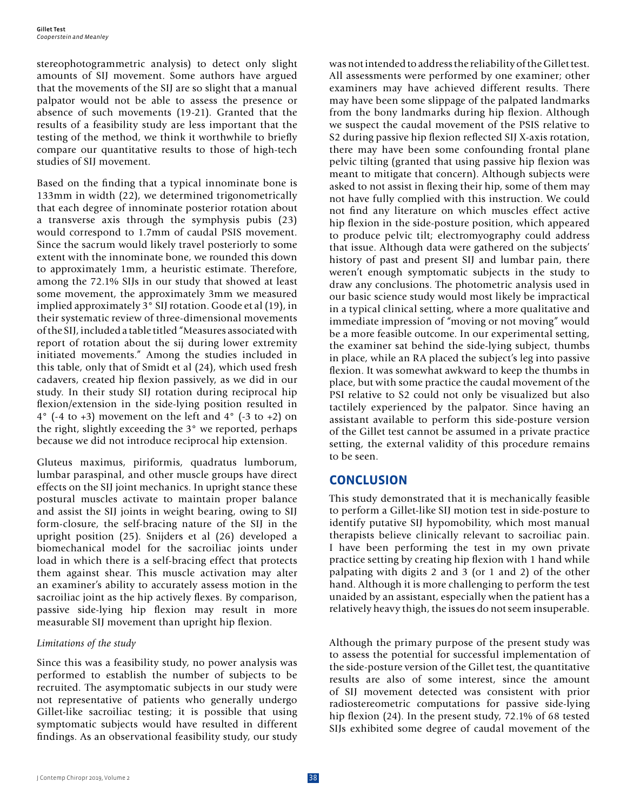stereophotogrammetric analysis) to detect only slight amounts of SIJ movement. Some authors have argued that the movements of the SIJ are so slight that a manual palpator would not be able to assess the presence or absence of such movements (19-21). Granted that the results of a feasibility study are less important that the testing of the method, we think it worthwhile to briefly compare our quantitative results to those of high-tech studies of SIJ movement.

Based on the finding that a typical innominate bone is 133mm in width (22), we determined trigonometrically that each degree of innominate posterior rotation about a transverse axis through the symphysis pubis (23) would correspond to 1.7mm of caudal PSIS movement. Since the sacrum would likely travel posteriorly to some extent with the innominate bone, we rounded this down to approximately 1mm, a heuristic estimate. Therefore, among the 72.1% SIJs in our study that showed at least some movement, the approximately 3mm we measured implied approximately 3° SIJ rotation. Goode et al (19), in their systematic review of three-dimensional movements of the SIJ, included a table titled "Measures associated with report of rotation about the sij during lower extremity initiated movements." Among the studies included in this table, only that of Smidt et al (24), which used fresh cadavers, created hip flexion passively, as we did in our study. In their study SIJ rotation during reciprocal hip flexion/extension in the side-lying position resulted in  $4^{\circ}$  (-4 to +3) movement on the left and  $4^{\circ}$  (-3 to +2) on the right, slightly exceeding the 3° we reported, perhaps because we did not introduce reciprocal hip extension.

Gluteus maximus, piriformis, quadratus lumborum, lumbar paraspinal, and other muscle groups have direct effects on the SIJ joint mechanics. In upright stance these postural muscles activate to maintain proper balance and assist the SIJ joints in weight bearing, owing to SIJ form-closure, the self-bracing nature of the SIJ in the upright position (25). Snijders et al (26) developed a biomechanical model for the sacroiliac joints under load in which there is a self-bracing effect that protects them against shear. This muscle activation may alter an examiner's ability to accurately assess motion in the sacroiliac joint as the hip actively flexes. By comparison, passive side-lying hip flexion may result in more measurable SIJ movement than upright hip flexion.

#### *Limitations of the study*

Since this was a feasibility study, no power analysis was performed to establish the number of subjects to be recruited. The asymptomatic subjects in our study were not representative of patients who generally undergo Gillet-like sacroiliac testing; it is possible that using symptomatic subjects would have resulted in different findings. As an observational feasibility study, our study was not intended to address the reliability of the Gillet test. All assessments were performed by one examiner; other examiners may have achieved different results. There may have been some slippage of the palpated landmarks from the bony landmarks during hip flexion. Although we suspect the caudal movement of the PSIS relative to S2 during passive hip flexion reflected SIJ X-axis rotation, there may have been some confounding frontal plane pelvic tilting (granted that using passive hip flexion was meant to mitigate that concern). Although subjects were asked to not assist in flexing their hip, some of them may not have fully complied with this instruction. We could not find any literature on which muscles effect active hip flexion in the side-posture position, which appeared to produce pelvic tilt; electromyography could address that issue. Although data were gathered on the subjects' history of past and present SIJ and lumbar pain, there weren't enough symptomatic subjects in the study to draw any conclusions. The photometric analysis used in our basic science study would most likely be impractical in a typical clinical setting, where a more qualitative and immediate impression of "moving or not moving" would be a more feasible outcome. In our experimental setting, the examiner sat behind the side-lying subject, thumbs in place, while an RA placed the subject's leg into passive flexion. It was somewhat awkward to keep the thumbs in place, but with some practice the caudal movement of the PSI relative to S2 could not only be visualized but also tactilely experienced by the palpator. Since having an assistant available to perform this side-posture version of the Gillet test cannot be assumed in a private practice setting, the external validity of this procedure remains to be seen.

## **CONCLUSION**

This study demonstrated that it is mechanically feasible to perform a Gillet-like SIJ motion test in side-posture to identify putative SIJ hypomobility, which most manual therapists believe clinically relevant to sacroiliac pain. I have been performing the test in my own private practice setting by creating hip flexion with 1 hand while palpating with digits 2 and 3 (or 1 and 2) of the other hand. Although it is more challenging to perform the test unaided by an assistant, especially when the patient has a relatively heavy thigh, the issues do not seem insuperable.

Although the primary purpose of the present study was to assess the potential for successful implementation of the side-posture version of the Gillet test, the quantitative results are also of some interest, since the amount of SIJ movement detected was consistent with prior radiostereometric computations for passive side-lying hip flexion (24). In the present study, 72.1% of 68 tested SIJs exhibited some degree of caudal movement of the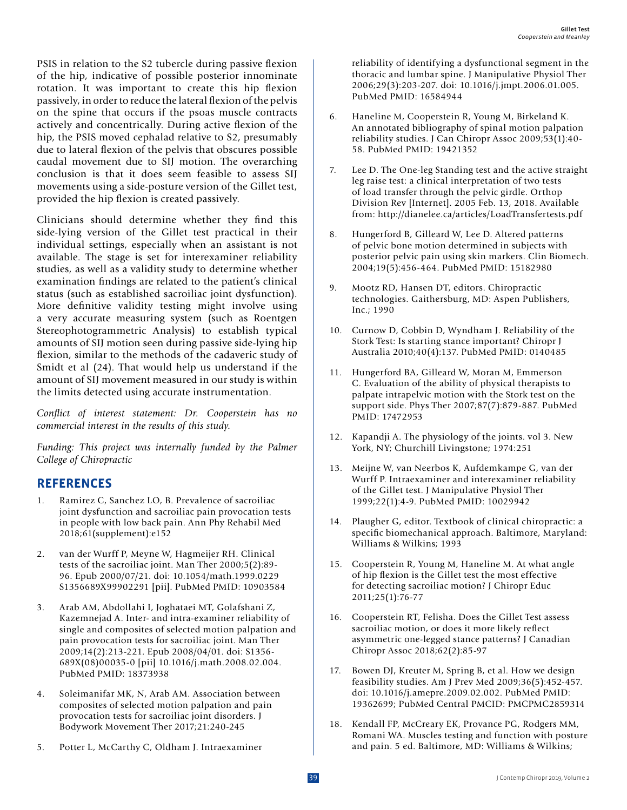PSIS in relation to the S2 tubercle during passive flexion of the hip, indicative of possible posterior innominate rotation. It was important to create this hip flexion passively, in order to reduce the lateral flexion of the pelvis on the spine that occurs if the psoas muscle contracts actively and concentrically. During active flexion of the hip, the PSIS moved cephalad relative to S2, presumably due to lateral flexion of the pelvis that obscures possible caudal movement due to SIJ motion. The overarching conclusion is that it does seem feasible to assess SIJ movements using a side-posture version of the Gillet test, provided the hip flexion is created passively.

Clinicians should determine whether they find this side-lying version of the Gillet test practical in their individual settings, especially when an assistant is not available. The stage is set for interexaminer reliability studies, as well as a validity study to determine whether examination findings are related to the patient's clinical status (such as established sacroiliac joint dysfunction). More definitive validity testing might involve using a very accurate measuring system (such as Roentgen Stereophotogrammetric Analysis) to establish typical amounts of SIJ motion seen during passive side-lying hip flexion, similar to the methods of the cadaveric study of Smidt et al (24). That would help us understand if the amount of SIJ movement measured in our study is within the limits detected using accurate instrumentation.

*Conflict of interest statement: Dr. Cooperstein has no commercial interest in the results of this study.*

*Funding: This project was internally funded by the Palmer College of Chiropractic*

# **REFERENCES**

- 1. Ramirez C, Sanchez LO, B. Prevalence of sacroiliac joint dysfunction and sacroiliac pain provocation tests in people with low back pain. Ann Phy Rehabil Med 2018;61(supplement):e152
- 2. van der Wurff P, Meyne W, Hagmeijer RH. Clinical tests of the sacroiliac joint. Man Ther 2000;5(2):89- 96. Epub 2000/07/21. doi: 10.1054/math.1999.0229 S1356689X99902291 [pii]. PubMed PMID: 10903584
- 3. Arab AM, Abdollahi I, Joghataei MT, Golafshani Z, Kazemnejad A. Inter- and intra-examiner reliability of single and composites of selected motion palpation and pain provocation tests for sacroiliac joint. Man Ther 2009;14(2):213-221. Epub 2008/04/01. doi: S1356- 689X(08)00035-0 [pii] 10.1016/j.math.2008.02.004. PubMed PMID: 18373938
- 4. Soleimanifar MK, N, Arab AM. Association between composites of selected motion palpation and pain provocation tests for sacroiliac joint disorders. J Bodywork Movement Ther 2017;21:240-245
- 5. Potter L, McCarthy C, Oldham J. Intraexaminer

reliability of identifying a dysfunctional segment in the thoracic and lumbar spine. J Manipulative Physiol Ther 2006;29(3):203-207. doi: 10.1016/j.jmpt.2006.01.005. PubMed PMID: 16584944

- 6. Haneline M, Cooperstein R, Young M, Birkeland K. An annotated bibliography of spinal motion palpation reliability studies. J Can Chiropr Assoc 2009;53(1):40- 58. PubMed PMID: 19421352
- 7. Lee D. The One-leg Standing test and the active straight leg raise test: a clinical interpretation of two tests of load transfer through the pelvic girdle. Orthop Division Rev [Internet]. 2005 Feb. 13, 2018. Available from: http://dianelee.ca/articles/LoadTransfertests.pdf
- 8. Hungerford B, Gilleard W, Lee D. Altered patterns of pelvic bone motion determined in subjects with posterior pelvic pain using skin markers. Clin Biomech. 2004;19(5):456-464. PubMed PMID: 15182980
- 9. Mootz RD, Hansen DT, editors. Chiropractic technologies. Gaithersburg, MD: Aspen Publishers, Inc.; 1990
- 10. Curnow D, Cobbin D, Wyndham J. Reliability of the Stork Test: Is starting stance important? Chiropr J Australia 2010;40(4):137. PubMed PMID: 0140485
- 11. Hungerford BA, Gilleard W, Moran M, Emmerson C. Evaluation of the ability of physical therapists to palpate intrapelvic motion with the Stork test on the support side. Phys Ther 2007;87(7):879-887. PubMed PMID: 17472953
- 12. Kapandji A. The physiology of the joints. vol 3. New York, NY; Churchill Livingstone; 1974:251
- 13. Meijne W, van Neerbos K, Aufdemkampe G, van der Wurff P. Intraexaminer and interexaminer reliability of the Gillet test. J Manipulative Physiol Ther 1999;22(1):4-9. PubMed PMID: 10029942
- 14. Plaugher G, editor. Textbook of clinical chiropractic: a specific biomechanical approach. Baltimore, Maryland: Williams & Wilkins; 1993
- 15. Cooperstein R, Young M, Haneline M. At what angle of hip flexion is the Gillet test the most effective for detecting sacroiliac motion? J Chiropr Educ 2011;25(1):76-77
- 16. Cooperstein RT, Felisha. Does the Gillet Test assess sacroiliac motion, or does it more likely reflect asymmetric one-legged stance patterns? J Canadian Chiropr Assoc 2018;62(2):85-97
- 17. Bowen DJ, Kreuter M, Spring B, et al. How we design feasibility studies. Am J Prev Med 2009;36(5):452-457. doi: 10.1016/j.amepre.2009.02.002. PubMed PMID: 19362699; PubMed Central PMCID: PMCPMC2859314
- 18. Kendall FP, McCreary EK, Provance PG, Rodgers MM, Romani WA. Muscles testing and function with posture and pain. 5 ed. Baltimore, MD: Williams & Wilkins;